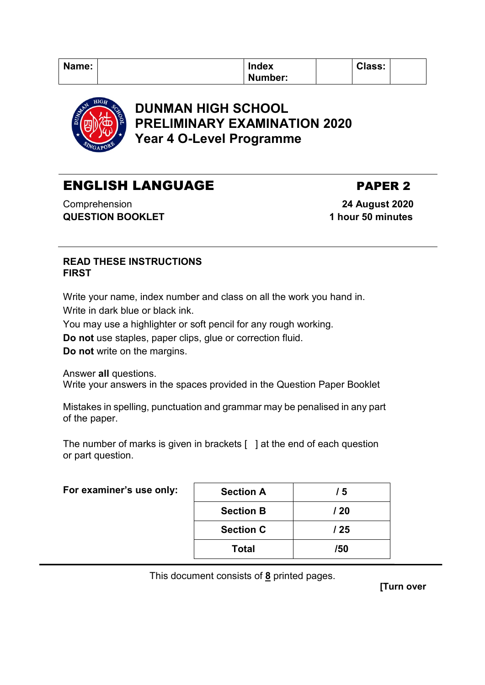| Name: | <b>Index</b> | <b>Class:</b> |  |
|-------|--------------|---------------|--|
|       | Number:      |               |  |



# **DUNMAN HIGH SCHOOL PRELIMINARY EXAMINATION 2020 Year 4 O-Level Programme**

# ENGLISH LANGUAGE PAPER 2

Comprehension **QUESTION BOOKLET**

 **24 August 2020 1 hour 50 minutes**

### **READ THESE INSTRUCTIONS FIRST**

Write your name, index number and class on all the work you hand in. Write in dark blue or black ink.

You may use a highlighter or soft pencil for any rough working.

**Do not** use staples, paper clips, glue or correction fluid.

**Do not** write on the margins.

Answer **all** questions.

Write your answers in the spaces provided in the Question Paper Booklet

Mistakes in spelling, punctuation and grammar may be penalised in any part of the paper.

The number of marks is given in brackets [ ] at the end of each question or part question.

| For examiner's use only: | <b>Section A</b> | / 5  |
|--------------------------|------------------|------|
|                          | <b>Section B</b> | / 20 |
|                          | <b>Section C</b> | / 25 |
|                          | <b>Total</b>     | /50  |

This document consists of **8** printed pages.

**[Turn over**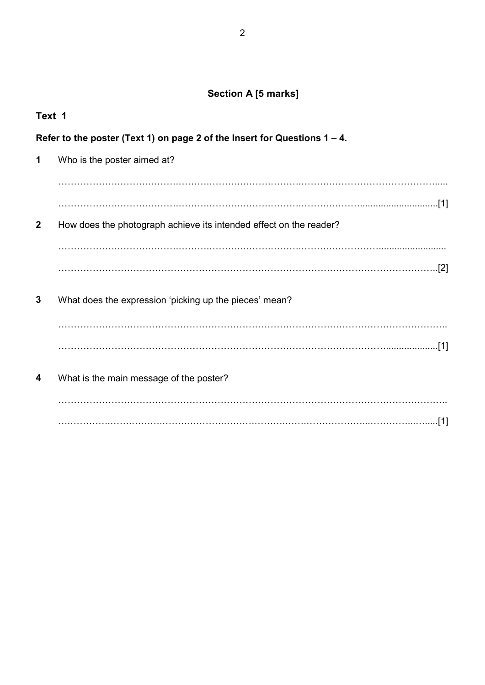# **Section A [5 marks]**

| Text 1                                                                       |                                                                    |  |
|------------------------------------------------------------------------------|--------------------------------------------------------------------|--|
| Refer to the poster (Text 1) on page 2 of the Insert for Questions $1 - 4$ . |                                                                    |  |
| 1                                                                            | Who is the poster aimed at?                                        |  |
|                                                                              |                                                                    |  |
|                                                                              |                                                                    |  |
| $\mathbf{2}$                                                                 | How does the photograph achieve its intended effect on the reader? |  |
|                                                                              |                                                                    |  |
|                                                                              |                                                                    |  |
| 3                                                                            | What does the expression 'picking up the pieces' mean?             |  |
|                                                                              |                                                                    |  |
|                                                                              | [1]                                                                |  |
| 4                                                                            | What is the main message of the poster?                            |  |
|                                                                              |                                                                    |  |
|                                                                              |                                                                    |  |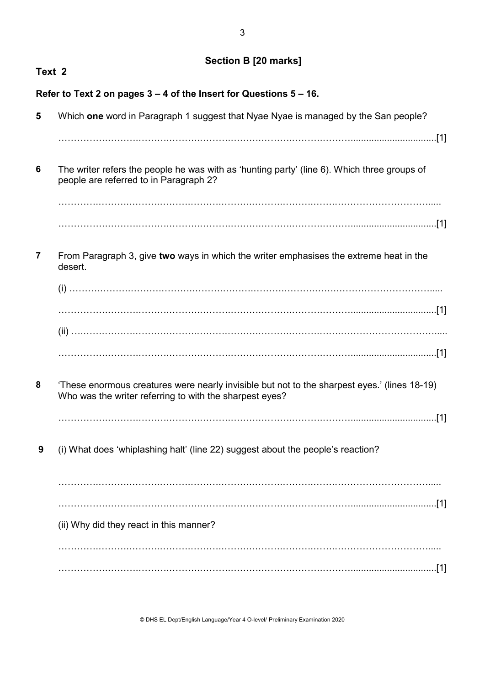## **Section B [20 marks]**

| Text 2                                                                                                                                                  |
|---------------------------------------------------------------------------------------------------------------------------------------------------------|
| Refer to Text 2 on pages 3 – 4 of the Insert for Questions 5 – 16.                                                                                      |
| Which one word in Paragraph 1 suggest that Nyae Nyae is managed by the San people?                                                                      |
|                                                                                                                                                         |
| The writer refers the people he was with as 'hunting party' (line 6). Which three groups of<br>people are referred to in Paragraph 2?                   |
|                                                                                                                                                         |
|                                                                                                                                                         |
| From Paragraph 3, give two ways in which the writer emphasises the extreme heat in the<br>desert.                                                       |
|                                                                                                                                                         |
|                                                                                                                                                         |
|                                                                                                                                                         |
| 'These enormous creatures were nearly invisible but not to the sharpest eyes.' (lines 18-19)<br>Who was the writer referring to with the sharpest eyes? |
|                                                                                                                                                         |
| (i) What does 'whiplashing halt' (line 22) suggest about the people's reaction?                                                                         |
|                                                                                                                                                         |
| (ii) Why did they react in this manner?                                                                                                                 |
| .[1]                                                                                                                                                    |
|                                                                                                                                                         |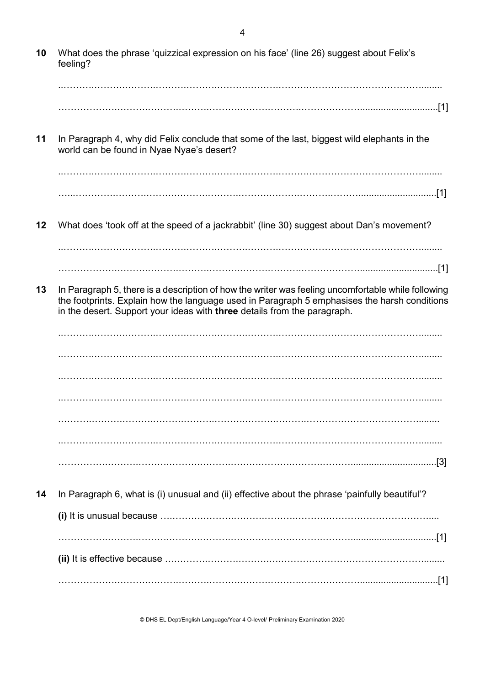**10** What does the phrase 'quizzical expression on his face' (line 26) suggest about Felix's feeling? ..……….……….……….……….……….……….……….……….………………………………........ ……………….……….……….……….……….……….……….……….………..............................[1] **11** In Paragraph 4, why did Felix conclude that some of the last, biggest wild elephants in the world can be found in Nyae Nyae's desert? ..……….……….……….……….……….……….……….……….………………………………........ …...………….……….……….……….……….……….……….……….………..............................[1] **12** What does 'took off at the speed of a jackrabbit' (line 30) suggest about Dan's movement? ..……….……….……….……….……….……….……….……….………………………………........ ……………….……….……….……….……….……….……….……….………..............................[1] **13** In Paragraph 5, there is a description of how the writer was feeling uncomfortable while following the footprints. Explain how the language used in Paragraph 5 emphasises the harsh conditions in the desert. Support your ideas with **three** details from the paragraph. ..……….……….……….……….……….……….……….……….………………………………........ ..……….……….……….……….……….……….……….……….………………………………........ ..……….……….……….……….……….……….……….……….………………………………........ ..……….……….……….……….……….……….……….……….………………………………........ .……….……….……….……….……….……….……….……….………………………………........ ..……….……….……….……….……….……….……….……….………………………………........ …………….……….……….……….……….……….……….……….……….................................[3] **14** In Paragraph 6, what is (i) unusual and (ii) effective about the phrase 'painfully beautiful'? **(i)** It is unusual because ….……….……….……….……….……….…………………………….... …………….……….……….……….……….……….……….……….……….................................[1] **(ii)** It is effective because ….……….……….……….….……….………………………………........ ……………….……….……….……….……….……….……….……….………..............................[1]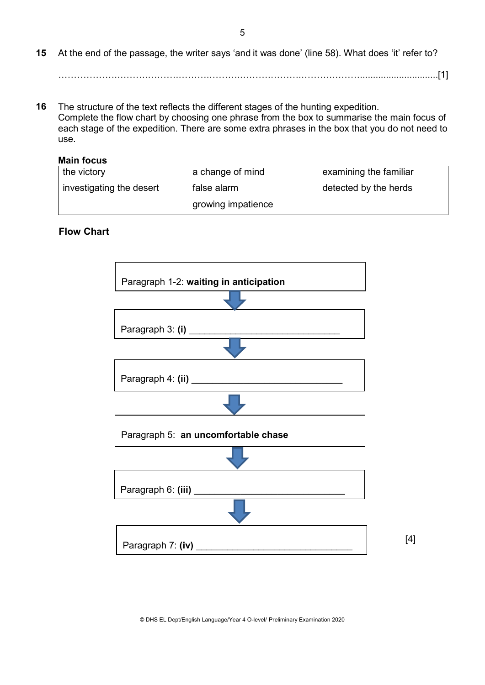**15** At the end of the passage, the writer says 'and it was done' (line 58). What does 'it' refer to?

……………….……….……….……….……….……….……….……….………..............................[1]

**16** The structure of the text reflects the different stages of the hunting expedition. Complete the flow chart by choosing one phrase from the box to summarise the main focus of each stage of the expedition. There are some extra phrases in the box that you do not need to use.

#### **Main focus**

| the victory              | a change of mind   | examining the familiar |
|--------------------------|--------------------|------------------------|
| investigating the desert | false alarm        | detected by the herds  |
|                          | growing impatience |                        |

#### **Flow Chart**

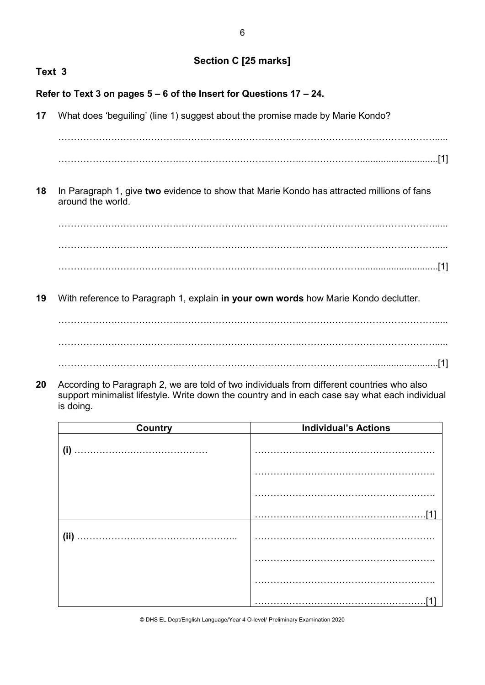## **Section C [25 marks]**

# **Text 3 Refer to Text 3 on pages 5 – 6 of the Insert for Questions 17 – 24. 17** What does 'beguiling' (line 1) suggest about the promise made by Marie Kondo? ……………….……….……….……….……….……….……….……….……………………………..... ……………….……….……….……….……….……….……….……….………..............................[1] **18** In Paragraph 1, give **two** evidence to show that Marie Kondo has attracted millions of fans around the world. ……………….……….……….……….……….……….……….……….……………………………..... ……………….……….……….……….……….……….……….……….……………………………..... ……………….……….……….……….……….……….……….……….………..............................[1] **19** With reference to Paragraph 1, explain **in your own words** how Marie Kondo declutter. ……………….……….……….……….……….……….……….……….……………………………..... ……………….……….……….……….……….……….……….……….…………………………….....

- ……………….……….……….……….……….……….……….……….………..............................[1]
- **20** According to Paragraph 2, we are told of two individuals from different countries who also support minimalist lifestyle. Write down the country and in each case say what each individual is doing.

| <b>Country</b> | <b>Individual's Actions</b> |  |
|----------------|-----------------------------|--|
| (i)            |                             |  |
|                |                             |  |
|                |                             |  |
|                |                             |  |
|                |                             |  |
|                |                             |  |
|                |                             |  |
|                |                             |  |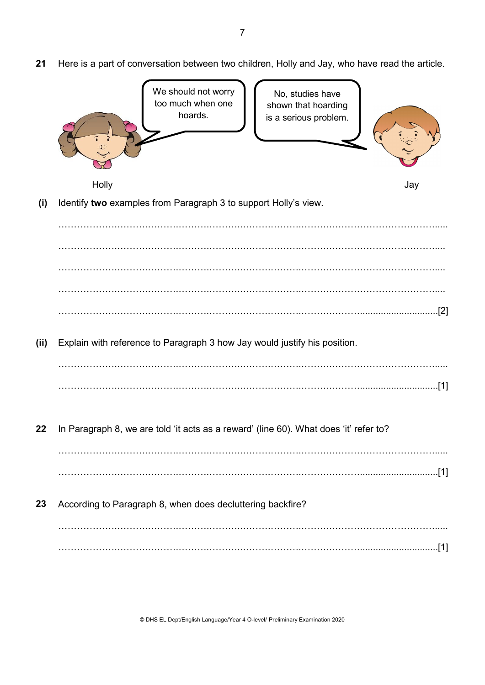**21** Here is a part of conversation between two children, Holly and Jay, who have read the article.